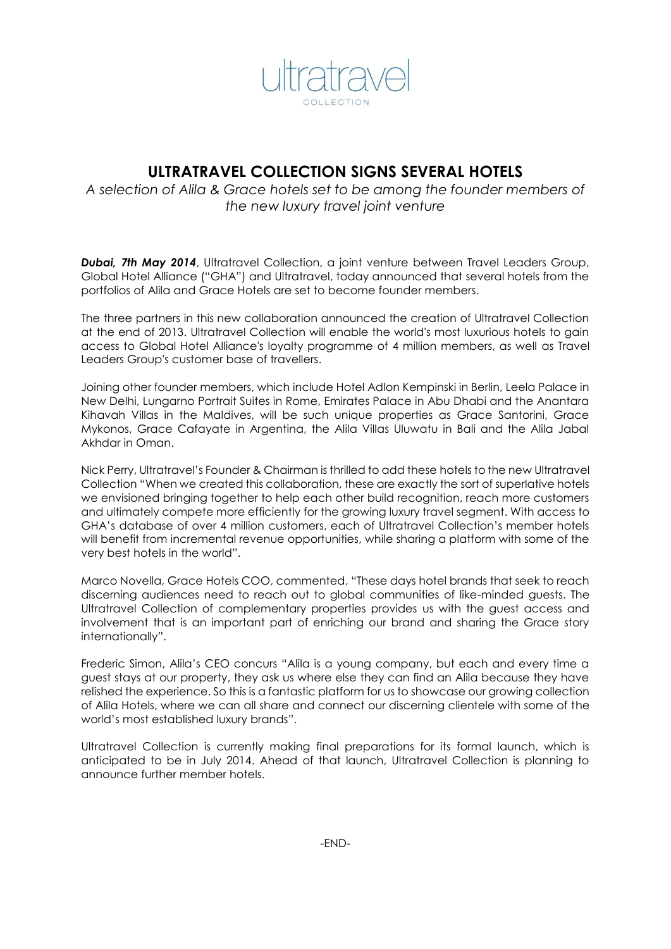

# **ULTRATRAVEL COLLECTION SIGNS SEVERAL HOTELS**

*A selection of Alila & Grace hotels set to be among the founder members of the new luxury travel joint venture*

*Dubai, 7th May 2014*, Ultratravel Collection, a joint venture between Travel Leaders Group, Global Hotel Alliance ("GHA") and Ultratravel, today announced that several hotels from the portfolios of Alila and Grace Hotels are set to become founder members.

The three partners in this new collaboration announced the creation of Ultratravel Collection at the end of 2013. Ultratravel Collection will enable the world's most luxurious hotels to gain access to Global Hotel Alliance's loyalty programme of 4 million members, as well as Travel Leaders Group's customer base of travellers.

Joining other founder members, which include Hotel Adlon Kempinski in Berlin, Leela Palace in New Delhi, Lungarno Portrait Suites in Rome, Emirates Palace in Abu Dhabi and the Anantara Kihavah Villas in the Maldives, will be such unique properties as Grace Santorini, Grace Mykonos, Grace Cafayate in Argentina, the Alila Villas Uluwatu in Bali and the Alila Jabal Akhdar in Oman.

Nick Perry, Ultratravel's Founder & Chairman is thrilled to add these hotels to the new Ultratravel Collection "When we created this collaboration, these are exactly the sort of superlative hotels we envisioned bringing together to help each other build recognition, reach more customers and ultimately compete more efficiently for the growing luxury travel segment. With access to GHA's database of over 4 million customers, each of Ultratravel Collection's member hotels will benefit from incremental revenue opportunities, while sharing a platform with some of the very best hotels in the world".

Marco Novella, Grace Hotels COO, commented, "These days hotel brands that seek to reach discerning audiences need to reach out to global communities of like-minded guests. The Ultratravel Collection of complementary properties provides us with the guest access and involvement that is an important part of enriching our brand and sharing the Grace story internationally".

Frederic Simon, Alila's CEO concurs "Alila is a young company, but each and every time a guest stays at our property, they ask us where else they can find an Alila because they have relished the experience. So this is a fantastic platform for us to showcase our growing collection of Alila Hotels, where we can all share and connect our discerning clientele with some of the world's most established luxury brands".

Ultratravel Collection is currently making final preparations for its formal launch, which is anticipated to be in July 2014. Ahead of that launch, Ultratravel Collection is planning to announce further member hotels.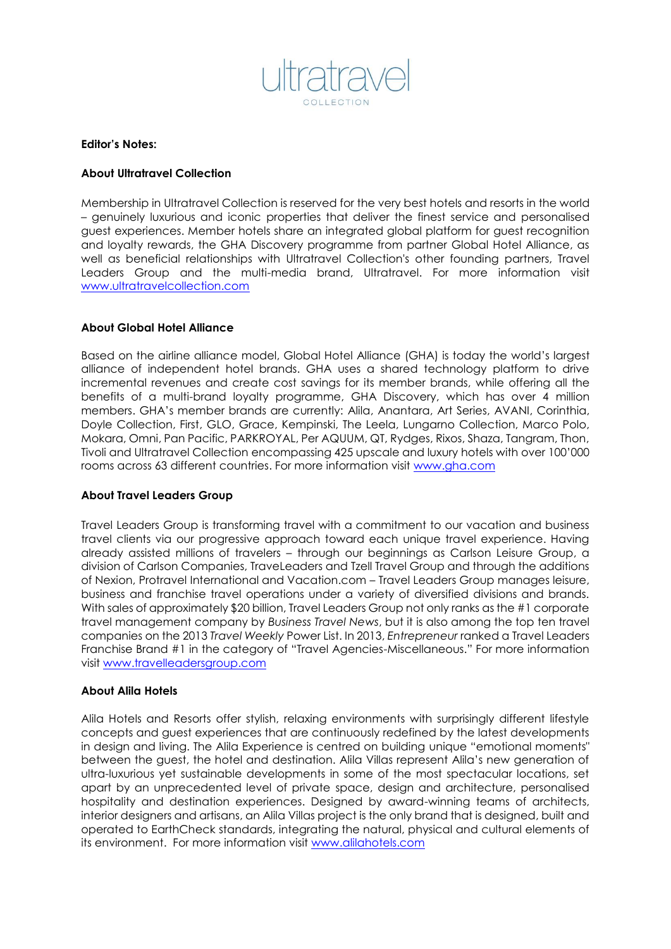

## **Editor's Notes:**

# **About Ultratravel Collection**

Membership in Ultratravel Collection is reserved for the very best hotels and resorts in the world – genuinely luxurious and iconic properties that deliver the finest service and personalised guest experiences. Member hotels share an integrated global platform for guest recognition and loyalty rewards, the GHA Discovery programme from partner Global Hotel Alliance, as well as beneficial relationships with Ultratravel Collection's other founding partners, Travel Leaders Group and the multi-media brand, Ultratravel. For more information visit [www.ultratravelcollection.com](http://www.ultratravelcollection.com/)

### **About Global Hotel Alliance**

Based on the airline alliance model, Global Hotel Alliance (GHA) is today the world's largest alliance of independent hotel brands. GHA uses a shared technology platform to drive incremental revenues and create cost savings for its member brands, while offering all the benefits of a multi-brand loyalty programme, GHA Discovery, which has over 4 million members. GHA's member brands are currently: Alila, Anantara, Art Series, AVANI, Corinthia, Doyle Collection, First, GLO, Grace, Kempinski, The Leela, Lungarno Collection, Marco Polo, Mokara, Omni, Pan Pacific, PARKROYAL, Per AQUUM, QT, Rydges, Rixos, Shaza, Tangram, Thon, Tivoli and Ultratravel Collection encompassing 425 upscale and luxury hotels with over 100'000 rooms across 63 different countries. For more information visit [www.gha.com](http://www.ghadiscovery.com/)

# **About Travel Leaders Group**

Travel Leaders Group is transforming travel with a commitment to our vacation and business travel clients via our progressive approach toward each unique travel experience. Having already assisted millions of travelers – through our beginnings as Carlson Leisure Group, a division of Carlson Companies, TraveLeaders and Tzell Travel Group and through the additions of Nexion, Protravel International and Vacation.com – Travel Leaders Group manages leisure, business and franchise travel operations under a variety of diversified divisions and brands. With sales of approximately \$20 billion, Travel Leaders Group not only ranks as the #1 corporate travel management company by *Business Travel News*, but it is also among the top ten travel companies on the 2013 *Travel Weekly* Power List. In 2013, *Entrepreneur* ranked a Travel Leaders Franchise Brand #1 in the category of "Travel Agencies-Miscellaneous." For more information visit [www.travelleadersgroup.com](http://www.travelleadersgroup.com/)

#### **About Alila Hotels**

Alila Hotels and Resorts offer stylish, relaxing environments with surprisingly different lifestyle concepts and guest experiences that are continuously redefined by the latest developments in design and living. The Alila Experience is centred on building unique "emotional moments" between the guest, the hotel and destination. Alila Villas represent Alila's new generation of ultra-luxurious yet sustainable developments in some of the most spectacular locations, set apart by an unprecedented level of private space, design and architecture, personalised hospitality and destination experiences. Designed by award-winning teams of architects, interior designers and artisans, an Alila Villas project is the only brand that is designed, built and operated to EarthCheck standards, integrating the natural, physical and cultural elements of its environment. For more information visit [www.alilahotels.com](http://www.alilahotels.com/)